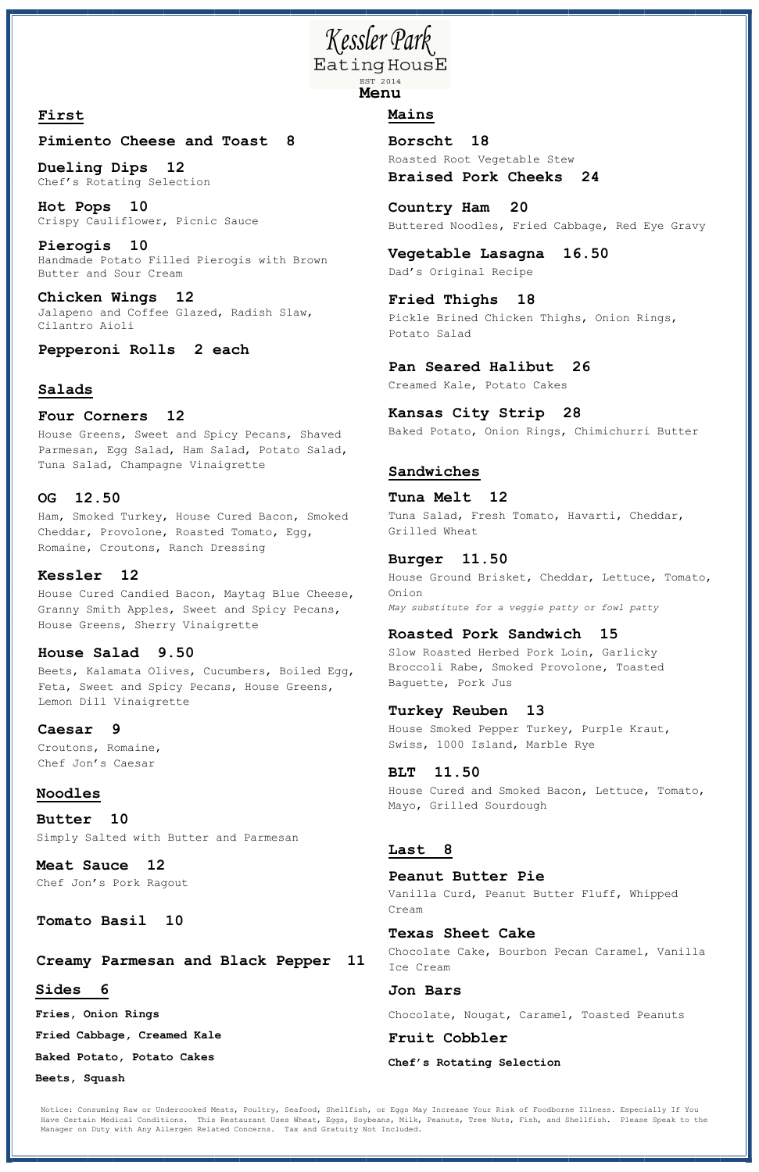Kessler Park Eating HousE

EST 2014

### **First**

**Pimiento Cheese and Toast 8**

**Dueling Dips 12** Chef's Rotating Selection

**Hot Pops 10** Crispy Cauliflower, Picnic Sauce

**Pierogis 10** Handmade Potato Filled Pierogis with Brown Butter and Sour Cream

**Chicken Wings 12** Jalapeno and Coffee Glazed, Radish Slaw, Cilantro Aioli

**Pepperoni Rolls 2 each**

#### **Salads**

**Four Corners 12** House Greens, Sweet and Spicy Pecans, Shaved Parmesan, Egg Salad, Ham Salad, Potato Salad, Tuna Salad, Champagne Vinaigrette

#### **OG 12.50**

Ham, Smoked Turkey, House Cured Bacon, Smoked Cheddar, Provolone, Roasted Tomato, Egg, Romaine, Croutons, Ranch Dressing

#### **Kessler 12**

House Cured Candied Bacon, Maytag Blue Cheese, Granny Smith Apples, Sweet and Spicy Pecans, House Greens, Sherry Vinaigrette

#### **House Salad 9.50**

Beets, Kalamata Olives, Cucumbers, Boiled Egg, Feta, Sweet and Spicy Pecans, House Greens, Lemon Dill Vinaigrette

#### **Caesar 9**

Croutons, Romaine, Chef Jon's Caesar

# **Mains**

**Borscht 18** Roasted Root Vegetable Stew **Braised Pork Cheeks 24**

**Country Ham 20** Buttered Noodles, Fried Cabbage, Red Eye Gravy

**Vegetable Lasagna 16.50** Dad's Original Recipe

**Fried Thighs 18** Pickle Brined Chicken Thighs, Onion Rings, Potato Salad

**Pan Seared Halibut 26** Creamed Kale, Potato Cakes

**Kansas City Strip 28** Baked Potato, Onion Rings, Chimichurri Butter

#### **Sandwiches**

**Tuna Melt 12** Tuna Salad, Fresh Tomato, Havarti, Cheddar, Grilled Wheat

#### **Burger 11.50**

House Ground Brisket, Cheddar, Lettuce, Tomato, Onion *May substitute for a veggie patty or fowl patty*

#### **Roasted Pork Sandwich 15**

Slow Roasted Herbed Pork Loin, Garlicky Broccoli Rabe, Smoked Provolone, Toasted Baguette, Pork Jus

#### **Turkey Reuben 13**

House Smoked Pepper Turkey, Purple Kraut, Swiss, 1000 Island, Marble Rye

#### **BLT 11.50**

House Cured and Smoked Bacon, Lettuce, Tomato, Mayo, Grilled Sourdough

#### **Last 8**

#### **Peanut Butter Pie**

Vanilla Curd, Peanut Butter Fluff, Whipped Cream

### **Texas Sheet Cake**

Chocolate Cake, Bourbon Pecan Caramel, Vanilla Ice Cream

#### **Jon Bars**

Chocolate, Nougat, Caramel, Toasted Peanuts

## **Fruit Cobbler**

**Chef's Rotating Selection**

#### **Noodles**

**Butter 10**  Simply Salted with Butter and Parmesan

#### **Meat Sauce 12**

Chef Jon's Pork Ragout

**Tomato Basil 10**

**Creamy Parmesan and Black Pepper 11**

Notice: Consuming Raw or Undercooked Meats, Poultry, Seafood, Shellfish, or Eggs May Increase Your Risk of Foodborne Illness. Especially If You Have Certain Medical Conditions. This Restaurant Uses Wheat, Eggs, Soybeans, Milk, Peanuts, Tree Nuts, Fish, and Shellfish. Please Speak to the Manager on Duty with Any Allergen Related Concerns. Tax and Gratuity Not Included.

## **Sides 6**

**Fries, Onion Rings**

**Fried Cabbage, Creamed Kale**

**Baked Potato, Potato Cakes**

**Beets, Squash**